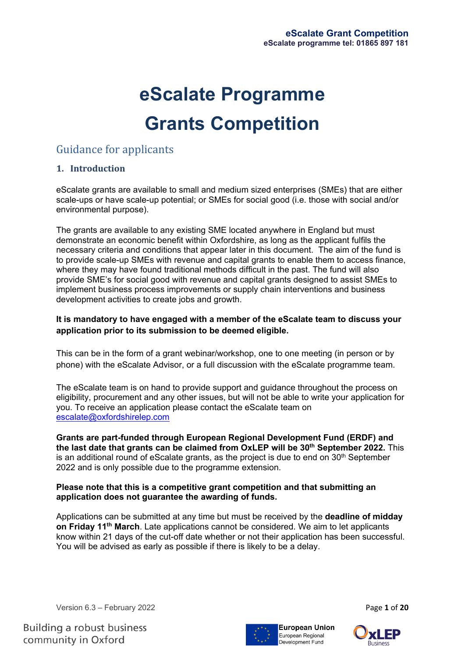# **eScalate Programme Grants Competition**

# Guidance for applicants

# **1. Introduction**

eScalate grants are available to small and medium sized enterprises (SMEs) that are either scale-ups or have scale-up potential; or SMEs for social good (i.e. those with social and/or environmental purpose).

The grants are available to any existing SME located anywhere in England but must demonstrate an economic benefit within Oxfordshire, as long as the applicant fulfils the necessary criteria and conditions that appear later in this document. The aim of the fund is to provide scale-up SMEs with revenue and capital grants to enable them to access finance, where they may have found traditional methods difficult in the past. The fund will also provide SME's for social good with revenue and capital grants designed to assist SMEs to implement business process improvements or supply chain interventions and business development activities to create jobs and growth.

#### **It is mandatory to have engaged with a member of the eScalate team to discuss your application prior to its submission to be deemed eligible.**

This can be in the form of a grant webinar/workshop, one to one meeting (in person or by phone) with the eScalate Advisor, or a full discussion with the eScalate programme team.

The eScalate team is on hand to provide support and guidance throughout the process on eligibility, procurement and any other issues, but will not be able to write your application for you. To receive an application please contact the eScalate team on [escalate@oxfordshirelep.com](mailto:escalate@oxfordshirelep.com)

**Grants are part-funded through European Regional Development Fund (ERDF) and the last date that grants can be claimed from OxLEP will be 30th September 2022.** This is an additional round of eScalate grants, as the project is due to end on  $30<sup>th</sup>$  September 2022 and is only possible due to the programme extension.

#### **Please note that this is a competitive grant competition and that submitting an application does not guarantee the awarding of funds.**

Applications can be submitted at any time but must be received by the **deadline of midday on Friday 11th March**. Late applications cannot be considered. We aim to let applicants know within 21 days of the cut-off date whether or not their application has been successful. You will be advised as early as possible if there is likely to be a delay.

Version 6.3 – February 2022 **Page 1** of 20



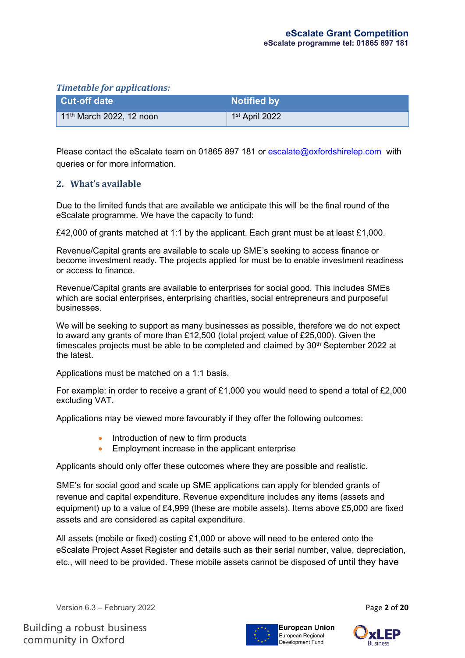#### *Timetable for applications:*

| <b>Cut-off date</b>        | <b>Notified by</b>         |
|----------------------------|----------------------------|
| $11th$ March 2022, 12 noon | 1 <sup>st</sup> April 2022 |

Please contact the eScalate team on 01865 897 181 or [escalate@oxfordshirelep.com](mailto:escalate@oxfordshirelep.com) with queries or for more information.

# **2. What's available**

Due to the limited funds that are available we anticipate this will be the final round of the eScalate programme. We have the capacity to fund:

£42,000 of grants matched at 1:1 by the applicant. Each grant must be at least £1,000.

Revenue/Capital grants are available to scale up SME's seeking to access finance or become investment ready. The projects applied for must be to enable investment readiness or access to finance.

Revenue/Capital grants are available to enterprises for social good. This includes SMEs which are social enterprises, enterprising charities, social entrepreneurs and purposeful businesses.

We will be seeking to support as many businesses as possible, therefore we do not expect to award any grants of more than £12,500 (total project value of £25,000). Given the timescales projects must be able to be completed and claimed by 30<sup>th</sup> September 2022 at the latest.

Applications must be matched on a 1:1 basis.

For example: in order to receive a grant of £1,000 you would need to spend a total of £2,000 excluding VAT.

Applications may be viewed more favourably if they offer the following outcomes:

- Introduction of new to firm products
- Employment increase in the applicant enterprise

Applicants should only offer these outcomes where they are possible and realistic.

SME's for social good and scale up SME applications can apply for blended grants of revenue and capital expenditure. Revenue expenditure includes any items (assets and equipment) up to a value of £4,999 (these are mobile assets). Items above £5,000 are fixed assets and are considered as capital expenditure.

All assets (mobile or fixed) costing £1,000 or above will need to be entered onto the eScalate Project Asset Register and details such as their serial number, value, depreciation, etc., will need to be provided. These mobile assets cannot be disposed of until they have

Version 6.3 – February 2022 **Page 2** of 20



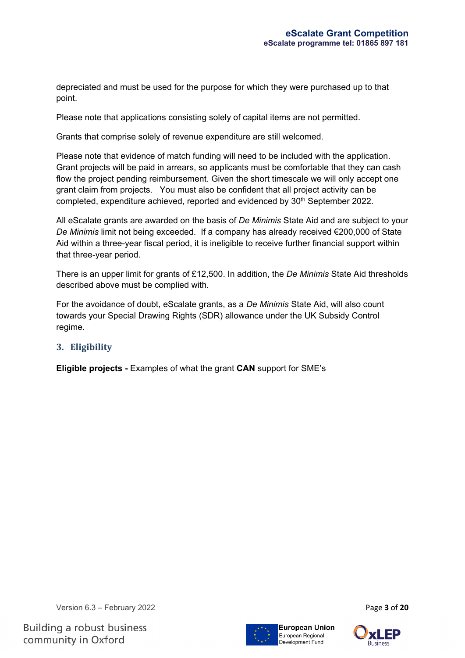depreciated and must be used for the purpose for which they were purchased up to that point.

Please note that applications consisting solely of capital items are not permitted.

Grants that comprise solely of revenue expenditure are still welcomed.

Please note that evidence of match funding will need to be included with the application. Grant projects will be paid in arrears, so applicants must be comfortable that they can cash flow the project pending reimbursement. Given the short timescale we will only accept one grant claim from projects. You must also be confident that all project activity can be completed, expenditure achieved, reported and evidenced by 30<sup>th</sup> September 2022.

All eScalate grants are awarded on the basis of *De Minimis* State Aid and are subject to your *De Minimis* limit not being exceeded. If a company has already received €200,000 of State Aid within a three-year fiscal period, it is ineligible to receive further financial support within that three-year period.

There is an upper limit for grants of £12,500. In addition, the *De Minimis* State Aid thresholds described above must be complied with.

For the avoidance of doubt, eScalate grants, as a *De Minimis* State Aid, will also count towards your Special Drawing Rights (SDR) allowance under the UK Subsidy Control regime.

# **3. Eligibility**

**Eligible projects -** Examples of what the grant **CAN** support for SME's

Version 6.3 – February 2022 **Page 3 of 20** 



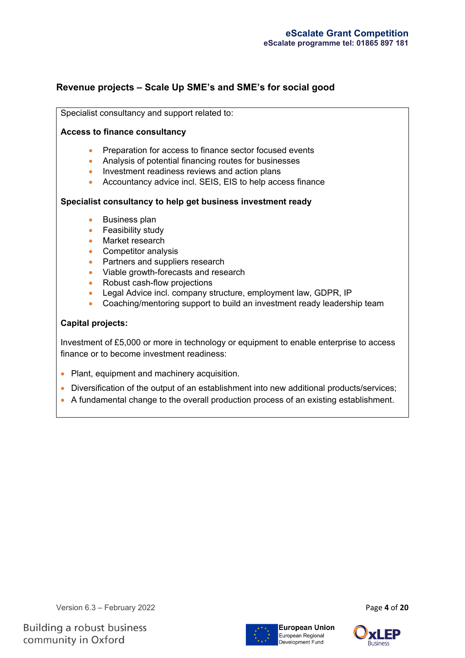# **Revenue projects – Scale Up SME's and SME's for social good**

Specialist consultancy and support related to:

#### **Access to finance consultancy**

- Preparation for access to finance sector focused events
- Analysis of potential financing routes for businesses
- Investment readiness reviews and action plans
- Accountancy advice incl. SEIS, EIS to help access finance

#### **Specialist consultancy to help get business investment ready**

- Business plan
- Feasibility study
- Market research
- Competitor analysis
- Partners and suppliers research
- Viable growth-forecasts and research
- Robust cash-flow projections
- Legal Advice incl. company structure, employment law, GDPR, IP
- Coaching/mentoring support to build an investment ready leadership team

## **Capital projects:**

Investment of £5,000 or more in technology or equipment to enable enterprise to access finance or to become investment readiness:

- Plant, equipment and machinery acquisition.
- Diversification of the output of an establishment into new additional products/services;
- A fundamental change to the overall production process of an existing establishment.



**Building a robust business** community in Oxford



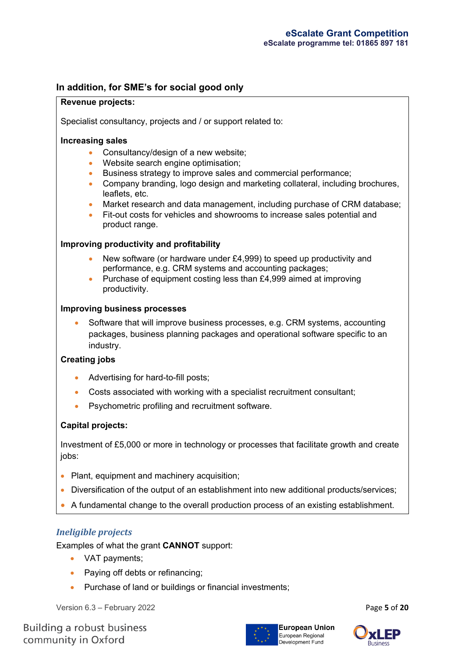# **In addition, for SME's for social good only**

#### **Revenue projects:**

Specialist consultancy, projects and / or support related to:

#### **Increasing sales**

- Consultancy/design of a new website;
- Website search engine optimisation;
- Business strategy to improve sales and commercial performance;
- Company branding, logo design and marketing collateral, including brochures, leaflets, etc.
- Market research and data management, including purchase of CRM database;
- Fit-out costs for vehicles and showrooms to increase sales potential and product range.

#### **Improving productivity and profitability**

- New software (or hardware under £4,999) to speed up productivity and performance, e.g. CRM systems and accounting packages;
- Purchase of equipment costing less than £4,999 aimed at improving productivity.

#### **Improving business processes**

• Software that will improve business processes, e.g. CRM systems, accounting packages, business planning packages and operational software specific to an industry.

#### **Creating jobs**

- Advertising for hard-to-fill posts;
- Costs associated with working with a specialist recruitment consultant;
- Psychometric profiling and recruitment software.

#### **Capital projects:**

Investment of £5,000 or more in technology or processes that facilitate growth and create jobs:

- Plant, equipment and machinery acquisition;
- Diversification of the output of an establishment into new additional products/services;
- A fundamental change to the overall production process of an existing establishment.

#### *Ineligible projects*

Examples of what the grant **CANNOT** support:

- VAT payments;
- Paying off debts or refinancing;
- Purchase of land or buildings or financial investments;

Version 6.3 – February 2022 Page **5** of **20**



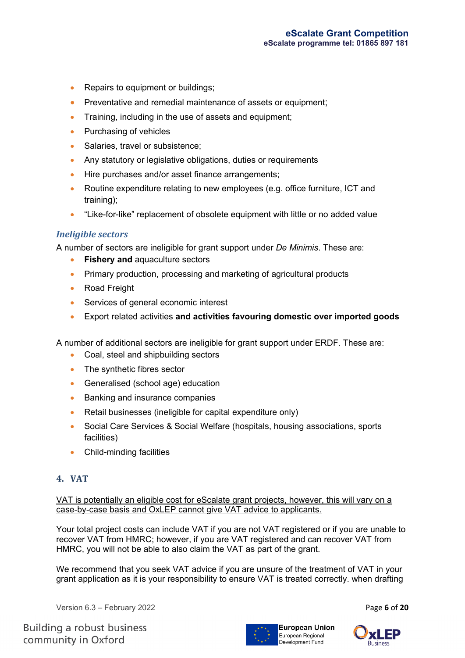- Repairs to equipment or buildings;
- Preventative and remedial maintenance of assets or equipment:
- Training, including in the use of assets and equipment;
- Purchasing of vehicles
- Salaries, travel or subsistence;
- Any statutory or legislative obligations, duties or requirements
- Hire purchases and/or asset finance arrangements;
- Routine expenditure relating to new employees (e.g. office furniture, ICT and training);
- "Like-for-like" replacement of obsolete equipment with little or no added value

#### *Ineligible sectors*

A number of sectors are ineligible for grant support under *De Minimis*. These are:

- **Fishery and** aquaculture sectors
- Primary production, processing and marketing of agricultural products
- Road Freight
- Services of general economic interest
- Export related activities **and activities favouring domestic over imported goods**

A number of additional sectors are ineligible for grant support under ERDF. These are:

- Coal, steel and shipbuilding sectors
- The synthetic fibres sector
- Generalised (school age) education
- Banking and insurance companies
- Retail businesses (ineligible for capital expenditure only)
- Social Care Services & Social Welfare (hospitals, housing associations, sports facilities)
- Child-minding facilities

#### **4. VAT**

VAT is potentially an eligible cost for eScalate grant projects, however, this will vary on a case-by-case basis and OxLEP cannot give VAT advice to applicants.

Your total project costs can include VAT if you are not VAT registered or if you are unable to recover VAT from HMRC; however, if you are VAT registered and can recover VAT from HMRC, you will not be able to also claim the VAT as part of the grant.

We recommend that you seek VAT advice if you are unsure of the treatment of VAT in your grant application as it is your responsibility to ensure VAT is treated correctly. when drafting

Version 6.3 – February 2022 **Page 6** of 20



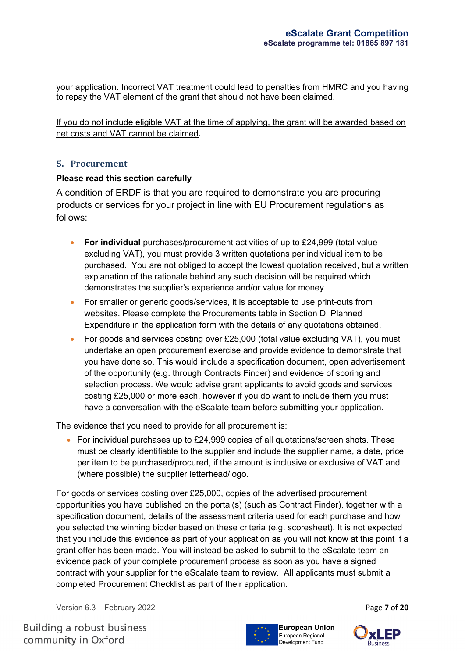your application. Incorrect VAT treatment could lead to penalties from HMRC and you having to repay the VAT element of the grant that should not have been claimed.

If you do not include eligible VAT at the time of applying, the grant will be awarded based on net costs and VAT cannot be claimed**.**

#### **5. Procurement**

#### **Please read this section carefully**

A condition of ERDF is that you are required to demonstrate you are procuring products or services for your project in line with EU Procurement regulations as follows:

- **For individual** purchases/procurement activities of up to £24,999 (total value excluding VAT), you must provide 3 written quotations per individual item to be purchased. You are not obliged to accept the lowest quotation received, but a written explanation of the rationale behind any such decision will be required which demonstrates the supplier's experience and/or value for money.
- For smaller or generic goods/services, it is acceptable to use print-outs from websites. Please complete the Procurements table in Section D: Planned Expenditure in the application form with the details of any quotations obtained.
- For goods and services costing over £25,000 (total value excluding VAT), you must undertake an open procurement exercise and provide evidence to demonstrate that you have done so. This would include a specification document, open advertisement of the opportunity (e.g. through Contracts Finder) and evidence of scoring and selection process. We would advise grant applicants to avoid goods and services costing £25,000 or more each, however if you do want to include them you must have a conversation with the eScalate team before submitting your application.

The evidence that you need to provide for all procurement is:

• For individual purchases up to £24,999 copies of all quotations/screen shots. These must be clearly identifiable to the supplier and include the supplier name, a date, price per item to be purchased/procured, if the amount is inclusive or exclusive of VAT and (where possible) the supplier letterhead/logo.

For goods or services costing over £25,000, copies of the advertised procurement opportunities you have published on the portal(s) (such as Contract Finder), together with a specification document, details of the assessment criteria used for each purchase and how you selected the winning bidder based on these criteria (e.g. scoresheet). It is not expected that you include this evidence as part of your application as you will not know at this point if a grant offer has been made. You will instead be asked to submit to the eScalate team an evidence pack of your complete procurement process as soon as you have a signed contract with your supplier for the eScalate team to review. All applicants must submit a completed Procurement Checklist as part of their application.

Version 6.3 – February 2022 Page **7** of **20**



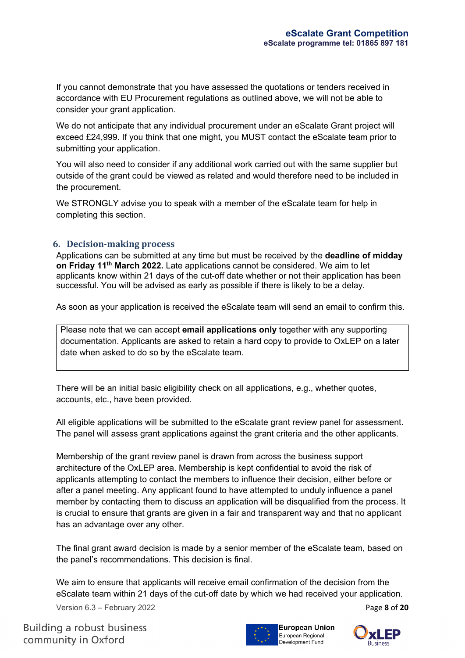If you cannot demonstrate that you have assessed the quotations or tenders received in accordance with EU Procurement regulations as outlined above, we will not be able to consider your grant application.

We do not anticipate that any individual procurement under an eScalate Grant project will exceed £24,999. If you think that one might, you MUST contact the eScalate team prior to submitting your application.

You will also need to consider if any additional work carried out with the same supplier but outside of the grant could be viewed as related and would therefore need to be included in the procurement.

We STRONGLY advise you to speak with a member of the eScalate team for help in completing this section.

#### **6. Decision-making process**

Applications can be submitted at any time but must be received by the **deadline of midday on Friday 11th March 2022.** Late applications cannot be considered. We aim to let applicants know within 21 days of the cut-off date whether or not their application has been successful. You will be advised as early as possible if there is likely to be a delay.

As soon as your application is received the eScalate team will send an email to confirm this.

Please note that we can accept **email applications only** together with any supporting documentation. Applicants are asked to retain a hard copy to provide to OxLEP on a later date when asked to do so by the eScalate team.

There will be an initial basic eligibility check on all applications, e.g., whether quotes, accounts, etc., have been provided.

All eligible applications will be submitted to the eScalate grant review panel for assessment. The panel will assess grant applications against the grant criteria and the other applicants.

Membership of the grant review panel is drawn from across the business support architecture of the OxLEP area. Membership is kept confidential to avoid the risk of applicants attempting to contact the members to influence their decision, either before or after a panel meeting. Any applicant found to have attempted to unduly influence a panel member by contacting them to discuss an application will be disqualified from the process. It is crucial to ensure that grants are given in a fair and transparent way and that no applicant has an advantage over any other.

The final grant award decision is made by a senior member of the eScalate team, based on the panel's recommendations. This decision is final.

We aim to ensure that applicants will receive email confirmation of the decision from the eScalate team within 21 days of the cut-off date by which we had received your application.

Version 6.3 – February 2022 Page **8** of **20**

**Building a robust business** community in Oxford



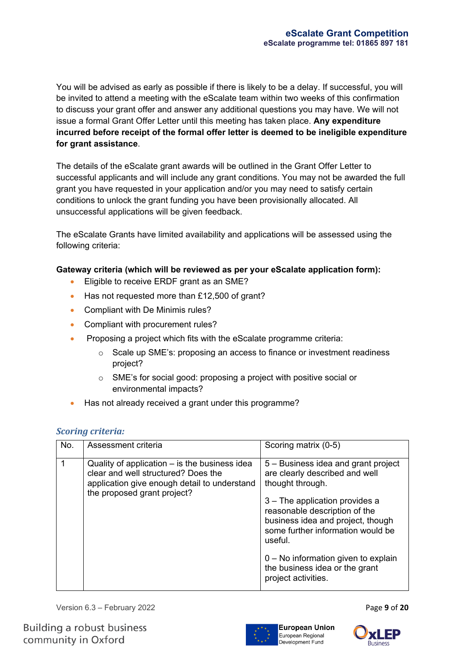You will be advised as early as possible if there is likely to be a delay. If successful, you will be invited to attend a meeting with the eScalate team within two weeks of this confirmation to discuss your grant offer and answer any additional questions you may have. We will not issue a formal Grant Offer Letter until this meeting has taken place. **Any expenditure incurred before receipt of the formal offer letter is deemed to be ineligible expenditure for grant assistance**.

The details of the eScalate grant awards will be outlined in the Grant Offer Letter to successful applicants and will include any grant conditions. You may not be awarded the full grant you have requested in your application and/or you may need to satisfy certain conditions to unlock the grant funding you have been provisionally allocated. All unsuccessful applications will be given feedback.

The eScalate Grants have limited availability and applications will be assessed using the following criteria:

#### **Gateway criteria (which will be reviewed as per your eScalate application form):**

- Eligible to receive ERDF grant as an SME?
- Has not requested more than £12,500 of grant?
- Compliant with De Minimis rules?
- Compliant with procurement rules?
- Proposing a project which fits with the eScalate programme criteria:
	- o Scale up SME's: proposing an access to finance or investment readiness project?
	- o SME's for social good: proposing a project with positive social or environmental impacts?
- Has not already received a grant under this programme?

#### *Scoring criteria:*

| No. | Assessment criteria                                                                                                                                                 | Scoring matrix (0-5)                                                                                                                                                                                                                                                                                                                                |  |  |  |
|-----|---------------------------------------------------------------------------------------------------------------------------------------------------------------------|-----------------------------------------------------------------------------------------------------------------------------------------------------------------------------------------------------------------------------------------------------------------------------------------------------------------------------------------------------|--|--|--|
|     | Quality of application - is the business idea<br>clear and well structured? Does the<br>application give enough detail to understand<br>the proposed grant project? | 5 – Business idea and grant project<br>are clearly described and well<br>thought through.<br>3 – The application provides a<br>reasonable description of the<br>business idea and project, though<br>some further information would be<br>useful.<br>$0 - No$ information given to explain<br>the business idea or the grant<br>project activities. |  |  |  |

Version 6.3 – February 2022 **Page 9 of 20** 



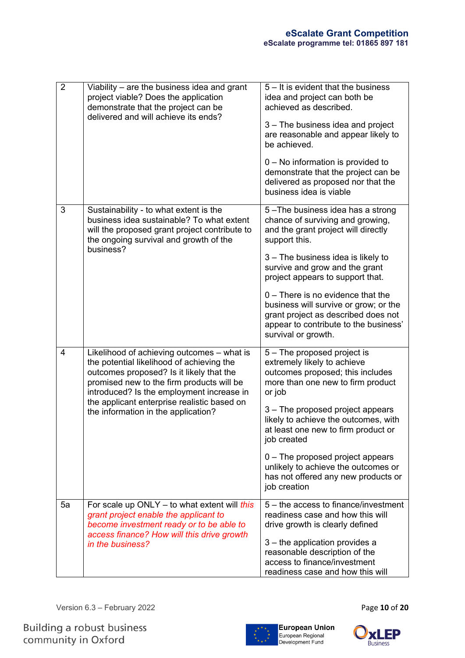| $\overline{2}$                                                                                                                                                                                              | Viability – are the business idea and grant<br>project viable? Does the application<br>demonstrate that the project can be                                                                                                                                                                                          | 5 – It is evident that the business<br>idea and project can both be<br>achieved as described.                                                                                       |
|-------------------------------------------------------------------------------------------------------------------------------------------------------------------------------------------------------------|---------------------------------------------------------------------------------------------------------------------------------------------------------------------------------------------------------------------------------------------------------------------------------------------------------------------|-------------------------------------------------------------------------------------------------------------------------------------------------------------------------------------|
|                                                                                                                                                                                                             | delivered and will achieve its ends?                                                                                                                                                                                                                                                                                | 3 – The business idea and project<br>are reasonable and appear likely to<br>be achieved.                                                                                            |
|                                                                                                                                                                                                             |                                                                                                                                                                                                                                                                                                                     | 0 - No information is provided to<br>demonstrate that the project can be<br>delivered as proposed nor that the<br>business idea is viable                                           |
| 3                                                                                                                                                                                                           | Sustainability - to what extent is the<br>business idea sustainable? To what extent<br>will the proposed grant project contribute to<br>the ongoing survival and growth of the                                                                                                                                      | 5-The business idea has a strong<br>chance of surviving and growing,<br>and the grant project will directly<br>support this.                                                        |
|                                                                                                                                                                                                             | business?                                                                                                                                                                                                                                                                                                           | 3 – The business idea is likely to<br>survive and grow and the grant<br>project appears to support that.                                                                            |
|                                                                                                                                                                                                             |                                                                                                                                                                                                                                                                                                                     | $0$ – There is no evidence that the<br>business will survive or grow; or the<br>grant project as described does not<br>appear to contribute to the business'<br>survival or growth. |
| 4                                                                                                                                                                                                           | Likelihood of achieving outcomes - what is<br>the potential likelihood of achieving the<br>outcomes proposed? Is it likely that the<br>promised new to the firm products will be<br>introduced? Is the employment increase in<br>the applicant enterprise realistic based on<br>the information in the application? | 5 – The proposed project is<br>extremely likely to achieve<br>outcomes proposed; this includes<br>more than one new to firm product<br>or job                                       |
|                                                                                                                                                                                                             |                                                                                                                                                                                                                                                                                                                     | 3 – The proposed project appears<br>likely to achieve the outcomes, with<br>at least one new to firm product or<br>job created                                                      |
|                                                                                                                                                                                                             |                                                                                                                                                                                                                                                                                                                     | $0$ – The proposed project appears<br>unlikely to achieve the outcomes or<br>has not offered any new products or<br>job creation                                                    |
| For scale up ONLY $-$ to what extent will this<br>5a<br>grant project enable the applicant to<br>become investment ready or to be able to<br>access finance? How will this drive growth<br>in the business? |                                                                                                                                                                                                                                                                                                                     | 5 – the access to finance/investment<br>readiness case and how this will<br>drive growth is clearly defined                                                                         |
|                                                                                                                                                                                                             | 3 – the application provides a<br>reasonable description of the<br>access to finance/investment<br>readiness case and how this will                                                                                                                                                                                 |                                                                                                                                                                                     |

Version 6.3 – February 2022 Page **10** of **20**



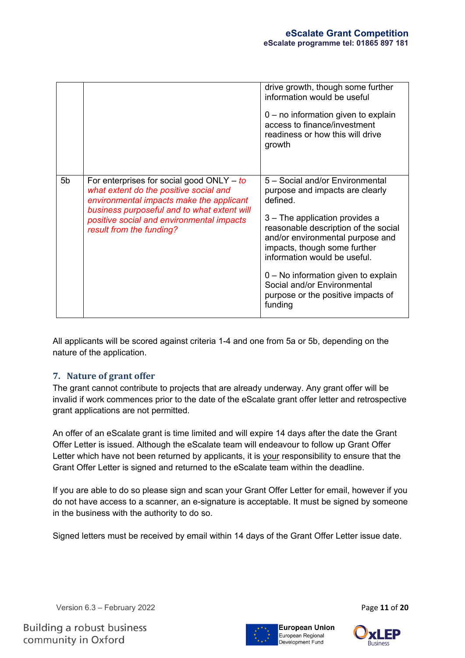|                |                                                                                                                                                                                                                                                           | drive growth, though some further<br>information would be useful<br>$0 - no$ information given to explain<br>access to finance/investment<br>readiness or how this will drive<br>growth                                                                                                                                                                                             |
|----------------|-----------------------------------------------------------------------------------------------------------------------------------------------------------------------------------------------------------------------------------------------------------|-------------------------------------------------------------------------------------------------------------------------------------------------------------------------------------------------------------------------------------------------------------------------------------------------------------------------------------------------------------------------------------|
| 5 <sub>b</sub> | For enterprises for social good $ONLY - to$<br>what extent do the positive social and<br>environmental impacts make the applicant<br>business purposeful and to what extent will<br>positive social and environmental impacts<br>result from the funding? | 5 - Social and/or Environmental<br>purpose and impacts are clearly<br>defined.<br>3 - The application provides a<br>reasonable description of the social<br>and/or environmental purpose and<br>impacts, though some further<br>information would be useful.<br>0 - No information given to explain<br>Social and/or Environmental<br>purpose or the positive impacts of<br>funding |

All applicants will be scored against criteria 1-4 and one from 5a or 5b, depending on the nature of the application.

#### **7. Nature of grant offer**

The grant cannot contribute to projects that are already underway. Any grant offer will be invalid if work commences prior to the date of the eScalate grant offer letter and retrospective grant applications are not permitted.

An offer of an eScalate grant is time limited and will expire 14 days after the date the Grant Offer Letter is issued. Although the eScalate team will endeavour to follow up Grant Offer Letter which have not been returned by applicants, it is your responsibility to ensure that the Grant Offer Letter is signed and returned to the eScalate team within the deadline.

If you are able to do so please sign and scan your Grant Offer Letter for email, however if you do not have access to a scanner, an e-signature is acceptable. It must be signed by someone in the business with the authority to do so.

Signed letters must be received by email within 14 days of the Grant Offer Letter issue date.

Version 6.3 – February 2022 Page **11** of **20**



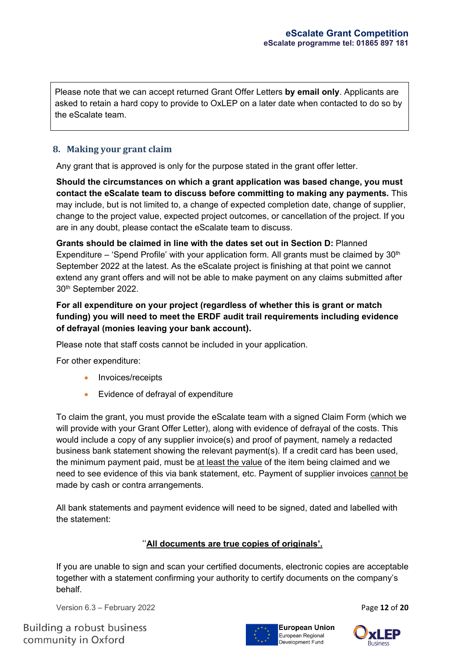Please note that we can accept returned Grant Offer Letters **by email only**. Applicants are asked to retain a hard copy to provide to OxLEP on a later date when contacted to do so by the eScalate team.

# **8. Making your grant claim**

Any grant that is approved is only for the purpose stated in the grant offer letter.

**Should the circumstances on which a grant application was based change, you must contact the eScalate team to discuss before committing to making any payments.** This may include, but is not limited to, a change of expected completion date, change of supplier, change to the project value, expected project outcomes, or cancellation of the project. If you are in any doubt, please contact the eScalate team to discuss.

**Grants should be claimed in line with the dates set out in Section D:** Planned Expenditure – 'Spend Profile' with your application form. All grants must be claimed by  $30<sup>th</sup>$ September 2022 at the latest. As the eScalate project is finishing at that point we cannot extend any grant offers and will not be able to make payment on any claims submitted after 30th September 2022.

# **For all expenditure on your project (regardless of whether this is grant or match funding) you will need to meet the ERDF audit trail requirements including evidence of defrayal (monies leaving your bank account).**

Please note that staff costs cannot be included in your application.

For other expenditure:

- Invoices/receipts
- Evidence of defrayal of expenditure

To claim the grant, you must provide the eScalate team with a signed Claim Form (which we will provide with your Grant Offer Letter), along with evidence of defrayal of the costs. This would include a copy of any supplier invoice(s) and proof of payment, namely a redacted business bank statement showing the relevant payment(s). If a credit card has been used, the minimum payment paid, must be at least the value of the item being claimed and we need to see evidence of this via bank statement, etc. Payment of supplier invoices cannot be made by cash or contra arrangements.

All bank statements and payment evidence will need to be signed, dated and labelled with the statement:

#### ''**All documents are true copies of originals'.**

If you are unable to sign and scan your certified documents, electronic copies are acceptable together with a statement confirming your authority to certify documents on the company's behalf.

Version 6.3 – February 2022 Page **12** of **20**



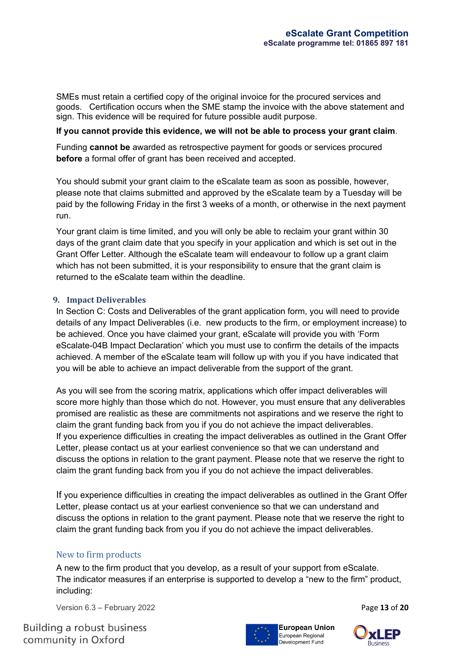SMEs must retain a certified copy of the original invoice for the procured services and goods. Certification occurs when the SME stamp the invoice with the above statement and sign. This evidence will be required for future possible audit purpose.

#### **If you cannot provide this evidence, we will not be able to process your grant claim**.

Funding **cannot be** awarded as retrospective payment for goods or services procured **before** a formal offer of grant has been received and accepted.

You should submit your grant claim to the eScalate team as soon as possible, however, please note that claims submitted and approved by the eScalate team by a Tuesday will be paid by the following Friday in the first 3 weeks of a month, or otherwise in the next payment run.

Your grant claim is time limited, and you will only be able to reclaim your grant within 30 days of the grant claim date that you specify in your application and which is set out in the Grant Offer Letter. Although the eScalate team will endeavour to follow up a grant claim which has not been submitted, it is your responsibility to ensure that the grant claim is returned to the eScalate team within the deadline.

#### **9. Impact Deliverables**

In Section C: Costs and Deliverables of the grant application form, you will need to provide details of any Impact Deliverables (i.e. new products to the firm, or employment increase) to be achieved. Once you have claimed your grant, eScalate will provide you with 'Form eScalate-04B Impact Declaration' which you must use to confirm the details of the impacts achieved. A member of the eScalate team will follow up with you if you have indicated that you will be able to achieve an impact deliverable from the support of the grant.

As you will see from the scoring matrix, applications which offer impact deliverables will score more highly than those which do not. However, you must ensure that any deliverables promised are realistic as these are commitments not aspirations and we reserve the right to claim the grant funding back from you if you do not achieve the impact deliverables. If you experience difficulties in creating the impact deliverables as outlined in the Grant Offer Letter, please contact us at your earliest convenience so that we can understand and discuss the options in relation to the grant payment. Please note that we reserve the right to claim the grant funding back from you if you do not achieve the impact deliverables.

If you experience difficulties in creating the impact deliverables as outlined in the Grant Offer Letter, please contact us at your earliest convenience so that we can understand and discuss the options in relation to the grant payment. Please note that we reserve the right to claim the grant funding back from you if you do not achieve the impact deliverables.

#### New to firm products

A new to the firm product that you develop, as a result of your support from eScalate. The indicator measures if an enterprise is supported to develop a "new to the firm" product, including:

Version 6.3 – February 2022 **Page 13 of 20** 

**Building a robust business** community in Oxford



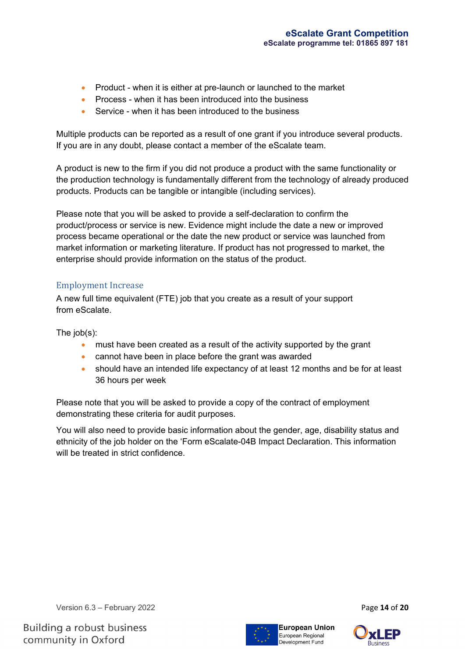- Product when it is either at pre-launch or launched to the market
- Process when it has been introduced into the business
- Service when it has been introduced to the business

Multiple products can be reported as a result of one grant if you introduce several products. If you are in any doubt, please contact a member of the eScalate team.

A product is new to the firm if you did not produce a product with the same functionality or the production technology is fundamentally different from the technology of already produced products. Products can be tangible or intangible (including services).

Please note that you will be asked to provide a self-declaration to confirm the product/process or service is new. Evidence might include the date a new or improved process became operational or the date the new product or service was launched from market information or marketing literature. If product has not progressed to market, the enterprise should provide information on the status of the product.

# Employment Increase

A new full time equivalent (FTE) job that you create as a result of your support from eScalate.

The job(s):

- must have been created as a result of the activity supported by the grant
- cannot have been in place before the grant was awarded
- should have an intended life expectancy of at least 12 months and be for at least 36 hours per week

Please note that you will be asked to provide a copy of the contract of employment demonstrating these criteria for audit purposes.

You will also need to provide basic information about the gender, age, disability status and ethnicity of the job holder on the 'Form eScalate-04B Impact Declaration. This information will be treated in strict confidence

Version 6.3 – February 2022 Page **14** of **20**

**Building a robust business** community in Oxford





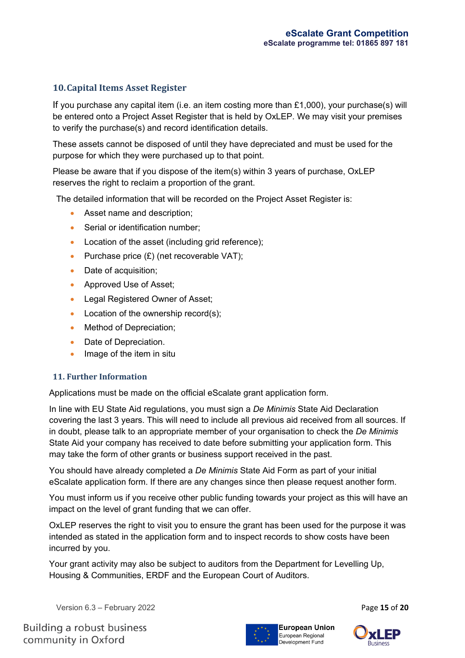# **10.Capital Items Asset Register**

If you purchase any capital item (i.e. an item costing more than  $£1,000$ ), your purchase(s) will be entered onto a Project Asset Register that is held by OxLEP. We may visit your premises to verify the purchase(s) and record identification details.

These assets cannot be disposed of until they have depreciated and must be used for the purpose for which they were purchased up to that point.

Please be aware that if you dispose of the item(s) within 3 years of purchase, OxLEP reserves the right to reclaim a proportion of the grant.

The detailed information that will be recorded on the Project Asset Register is:

- Asset name and description;
- Serial or identification number;
- Location of the asset (including grid reference);
- Purchase price  $(E)$  (net recoverable VAT);
- Date of acquisition;
- Approved Use of Asset;
- Legal Registered Owner of Asset;
- Location of the ownership record(s);
- Method of Depreciation;
- Date of Depreciation.
- Image of the item in situ

#### **11. Further Information**

Applications must be made on the official eScalate grant application form.

In line with EU State Aid regulations, you must sign a *De Minimis* State Aid Declaration covering the last 3 years. This will need to include all previous aid received from all sources. If in doubt, please talk to an appropriate member of your organisation to check the *De Minimis* State Aid your company has received to date before submitting your application form. This may take the form of other grants or business support received in the past.

You should have already completed a *De Minimis* State Aid Form as part of your initial eScalate application form. If there are any changes since then please request another form.

You must inform us if you receive other public funding towards your project as this will have an impact on the level of grant funding that we can offer.

OxLEP reserves the right to visit you to ensure the grant has been used for the purpose it was intended as stated in the application form and to inspect records to show costs have been incurred by you.

Your grant activity may also be subject to auditors from the Department for Levelling Up, Housing & Communities, ERDF and the European Court of Auditors.

Version 6.3 – February 2022 Page **15** of **20**

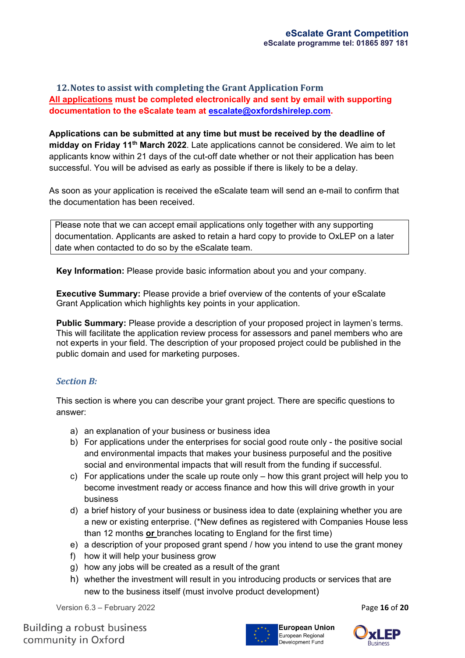# **12.Notes to assist with completing the Grant Application Form All applications must be completed electronically and sent by email with supporting documentation to the eScalate team at [escalate@oxfordshirelep.com.](mailto:escalate@oxfordshirelep.com)**

**Applications can be submitted at any time but must be received by the deadline of midday on Friday 11th March 2022**. Late applications cannot be considered. We aim to let applicants know within 21 days of the cut-off date whether or not their application has been successful. You will be advised as early as possible if there is likely to be a delay.

As soon as your application is received the eScalate team will send an e-mail to confirm that the documentation has been received.

Please note that we can accept email applications only together with any supporting documentation. Applicants are asked to retain a hard copy to provide to OxLEP on a later date when contacted to do so by the eScalate team.

**Key Information:** Please provide basic information about you and your company.

**Executive Summary:** Please provide a brief overview of the contents of your eScalate Grant Application which highlights key points in your application.

**Public Summary:** Please provide a description of your proposed project in laymen's terms. This will facilitate the application review process for assessors and panel members who are not experts in your field. The description of your proposed project could be published in the public domain and used for marketing purposes.

#### *Section B:*

This section is where you can describe your grant project. There are specific questions to answer:

- a) an explanation of your business or business idea
- b) For applications under the enterprises for social good route only the positive social and environmental impacts that makes your business purposeful and the positive social and environmental impacts that will result from the funding if successful.
- c) For applications under the scale up route only how this grant project will help you to become investment ready or access finance and how this will drive growth in your business
- d) a brief history of your business or business idea to date (explaining whether you are a new or existing enterprise. (\*New defines as registered with Companies House less than 12 months **or** branches locating to England for the first time)
- e) a description of your proposed grant spend / how you intend to use the grant money
- f) how it will help your business grow
- g) how any jobs will be created as a result of the grant
- h) whether the investment will result in you introducing products or services that are new to the business itself (must involve product development)

Version 6.3 – February 2022 Page **16** of **20**



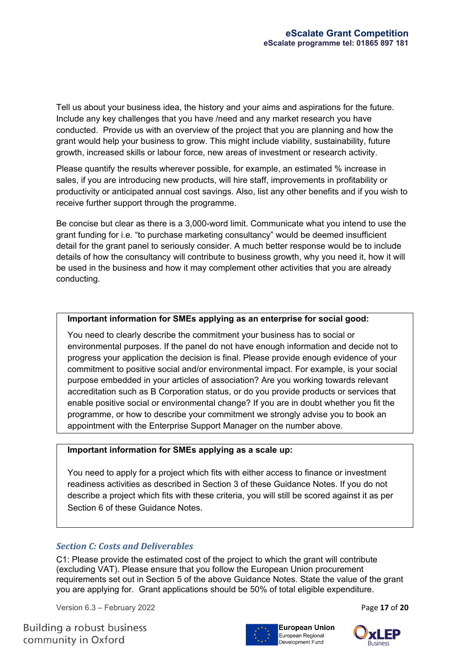Tell us about your business idea, the history and your aims and aspirations for the future. Include any key challenges that you have /need and any market research you have conducted. Provide us with an overview of the project that you are planning and how the grant would help your business to grow. This might include viability, sustainability, future growth, increased skills or labour force, new areas of investment or research activity.

Please quantify the results wherever possible, for example, an estimated % increase in sales, if you are introducing new products, will hire staff, improvements in profitability or productivity or anticipated annual cost savings. Also, list any other benefits and if you wish to receive further support through the programme.

Be concise but clear as there is a 3,000-word limit. Communicate what you intend to use the grant funding for i.e. "to purchase marketing consultancy" would be deemed insufficient detail for the grant panel to seriously consider. A much better response would be to include details of how the consultancy will contribute to business growth, why you need it, how it will be used in the business and how it may complement other activities that you are already conducting.

#### **Important information for SMEs applying as an enterprise for social good:**

You need to clearly describe the commitment your business has to social or environmental purposes. If the panel do not have enough information and decide not to progress your application the decision is final. Please provide enough evidence of your commitment to positive social and/or environmental impact. For example, is your social purpose embedded in your articles of association? Are you working towards relevant accreditation such as B Corporation status, or do you provide products or services that enable positive social or environmental change? If you are in doubt whether you fit the programme, or how to describe your commitment we strongly advise you to book an appointment with the Enterprise Support Manager on the number above.

#### **Important information for SMEs applying as a scale up:**

You need to apply for a project which fits with either access to finance or investment readiness activities as described in Section 3 of these Guidance Notes. If you do not describe a project which fits with these criteria, you will still be scored against it as per Section 6 of these Guidance Notes.

#### *Section C: Costs and Deliverables*

C1: Please provide the estimated cost of the project to which the grant will contribute (excluding VAT). Please ensure that you follow the European Union procurement requirements set out in Section 5 of the above Guidance Notes. State the value of the grant you are applying for. Grant applications should be 50% of total eligible expenditure.

Version 6.3 – February 2022 Page **17** of **20**

**Building a robust business** community in Oxford



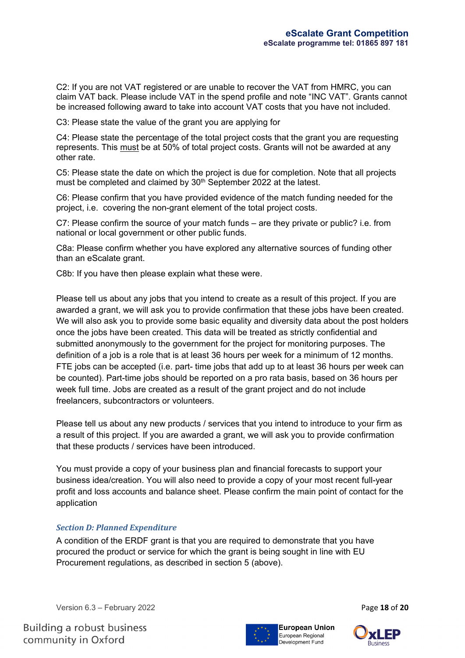C2: If you are not VAT registered or are unable to recover the VAT from HMRC, you can claim VAT back. Please include VAT in the spend profile and note "INC VAT". Grants cannot be increased following award to take into account VAT costs that you have not included.

C3: Please state the value of the grant you are applying for

C4: Please state the percentage of the total project costs that the grant you are requesting represents. This must be at 50% of total project costs. Grants will not be awarded at any other rate.

C5: Please state the date on which the project is due for completion. Note that all projects must be completed and claimed by 30<sup>th</sup> September 2022 at the latest.

C6: Please confirm that you have provided evidence of the match funding needed for the project, i.e. covering the non-grant element of the total project costs.

C7: Please confirm the source of your match funds – are they private or public? i.e. from national or local government or other public funds.

C8a: Please confirm whether you have explored any alternative sources of funding other than an eScalate grant.

C8b: If you have then please explain what these were.

Please tell us about any jobs that you intend to create as a result of this project. If you are awarded a grant, we will ask you to provide confirmation that these jobs have been created. We will also ask you to provide some basic equality and diversity data about the post holders once the jobs have been created. This data will be treated as strictly confidential and submitted anonymously to the government for the project for monitoring purposes. The definition of a job is a role that is at least 36 hours per week for a minimum of 12 months. FTE jobs can be accepted (i.e. part- time jobs that add up to at least 36 hours per week can be counted). Part-time jobs should be reported on a pro rata basis, based on 36 hours per week full time. Jobs are created as a result of the grant project and do not include freelancers, subcontractors or volunteers.

Please tell us about any new products / services that you intend to introduce to your firm as a result of this project. If you are awarded a grant, we will ask you to provide confirmation that these products / services have been introduced.

You must provide a copy of your business plan and financial forecasts to support your business idea/creation. You will also need to provide a copy of your most recent full-year profit and loss accounts and balance sheet. Please confirm the main point of contact for the application

#### *Section D: Planned Expenditure*

A condition of the ERDF grant is that you are required to demonstrate that you have procured the product or service for which the grant is being sought in line with EU Procurement regulations, as described in section 5 (above).

Version 6.3 – February 2022 Page **18** of **20**

**Building a robust business** community in Oxford



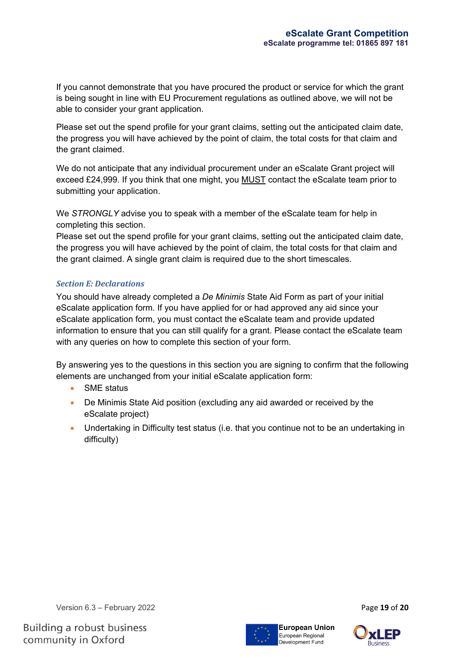If you cannot demonstrate that you have procured the product or service for which the grant is being sought in line with EU Procurement regulations as outlined above, we will not be able to consider your grant application.

Please set out the spend profile for your grant claims, setting out the anticipated claim date, the progress you will have achieved by the point of claim, the total costs for that claim and the grant claimed.

We do not anticipate that any individual procurement under an eScalate Grant project will exceed £24,999. If you think that one might, you MUST contact the eScalate team prior to submitting your application.

We *STRONGLY* advise you to speak with a member of the eScalate team for help in completing this section.

Please set out the spend profile for your grant claims, setting out the anticipated claim date, the progress you will have achieved by the point of claim, the total costs for that claim and the grant claimed. A single grant claim is required due to the short timescales.

#### *Section E: Declarations*

You should have already completed a *De Minimis* State Aid Form as part of your initial eScalate application form. If you have applied for or had approved any aid since your eScalate application form, you must contact the eScalate team and provide updated information to ensure that you can still qualify for a grant. Please contact the eScalate team with any queries on how to complete this section of your form.

By answering yes to the questions in this section you are signing to confirm that the following elements are unchanged from your initial eScalate application form:

- SME status
- De Minimis State Aid position (excluding any aid awarded or received by the eScalate project)
- Undertaking in Difficulty test status (i.e. that you continue not to be an undertaking in difficulty)

Version 6.3 – February 2022 Page **19** of **20**

**Building a robust business** community in Oxford